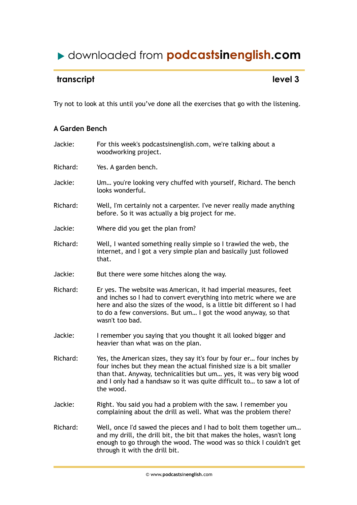## downloaded from **podcastsinenglish.com**

## **transcript** level 3

Try not to look at this until you've done all the exercises that go with the listening.

## **A Garden Bench**

| Jackie:  | For this week's podcastsinenglish.com, we're talking about a<br>woodworking project.                                                                                                                                                                                                                     |
|----------|----------------------------------------------------------------------------------------------------------------------------------------------------------------------------------------------------------------------------------------------------------------------------------------------------------|
| Richard: | Yes. A garden bench.                                                                                                                                                                                                                                                                                     |
| Jackie:  | Um you're looking very chuffed with yourself, Richard. The bench<br>looks wonderful.                                                                                                                                                                                                                     |
| Richard: | Well, I'm certainly not a carpenter. I've never really made anything<br>before. So it was actually a big project for me.                                                                                                                                                                                 |
| Jackie:  | Where did you get the plan from?                                                                                                                                                                                                                                                                         |
| Richard: | Well, I wanted something really simple so I trawled the web, the<br>internet, and I got a very simple plan and basically just followed<br>that.                                                                                                                                                          |
| Jackie:  | But there were some hitches along the way.                                                                                                                                                                                                                                                               |
| Richard: | Er yes. The website was American, it had imperial measures, feet<br>and inches so I had to convert everything into metric where we are<br>here and also the sizes of the wood, is a little bit different so I had<br>to do a few conversions. But um I got the wood anyway, so that<br>wasn't too bad.   |
| Jackie:  | I remember you saying that you thought it all looked bigger and<br>heavier than what was on the plan.                                                                                                                                                                                                    |
| Richard: | Yes, the American sizes, they say it's four by four er four inches by<br>four inches but they mean the actual finished size is a bit smaller<br>than that. Anyway, technicalities but um yes, it was very big wood<br>and I only had a handsaw so it was quite difficult to to saw a lot of<br>the wood. |
| Jackie:  | Right. You said you had a problem with the saw. I remember you<br>complaining about the drill as well. What was the problem there?                                                                                                                                                                       |
| Richard: | Well, once I'd sawed the pieces and I had to bolt them together um<br>and my drill, the drill bit, the bit that makes the holes, wasn't long<br>enough to go through the wood. The wood was so thick I couldn't get<br>through it with the drill bit.                                                    |